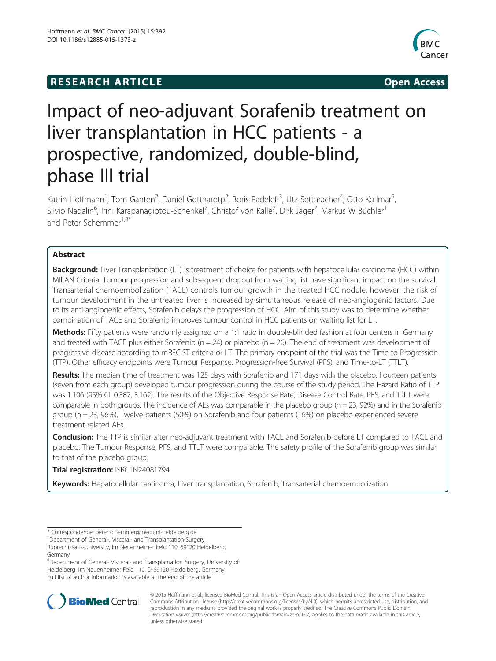# **RESEARCH ARTICLE Example 2014 12:30 The SEAR CHA RESEARCH ARTICLE**



# Impact of neo-adjuvant Sorafenib treatment on liver transplantation in HCC patients - a prospective, randomized, double-blind, phase III trial

Katrin Hoffmann<sup>1</sup>, Tom Ganten<sup>2</sup>, Daniel Gotthardtp<sup>2</sup>, Boris Radeleff<sup>3</sup>, Utz Settmacher<sup>4</sup>, Otto Kollmar<sup>5</sup> , Silvio Nadalin<sup>6</sup>, Irini Karapanagiotou-Schenkel<sup>7</sup>, Christof von Kalle<sup>7</sup>, Dirk Jäger<sup>7</sup>, Markus W Büchler<sup>1</sup> and Peter Schemmer<sup>1,8\*</sup>

# Abstract

Background: Liver Transplantation (LT) is treatment of choice for patients with hepatocellular carcinoma (HCC) within MILAN Criteria. Tumour progression and subsequent dropout from waiting list have significant impact on the survival. Transarterial chemoembolization (TACE) controls tumour growth in the treated HCC nodule, however, the risk of tumour development in the untreated liver is increased by simultaneous release of neo-angiogenic factors. Due to its anti-angiogenic effects, Sorafenib delays the progression of HCC. Aim of this study was to determine whether combination of TACE and Sorafenib improves tumour control in HCC patients on waiting list for LT.

Methods: Fifty patients were randomly assigned on a 1:1 ratio in double-blinded fashion at four centers in Germany and treated with TACE plus either Sorafenib ( $n = 24$ ) or placebo ( $n = 26$ ). The end of treatment was development of progressive disease according to mRECIST criteria or LT. The primary endpoint of the trial was the Time-to-Progression (TTP). Other efficacy endpoints were Tumour Response, Progression-free Survival (PFS), and Time-to-LT (TTLT).

Results: The median time of treatment was 125 days with Sorafenib and 171 days with the placebo. Fourteen patients (seven from each group) developed tumour progression during the course of the study period. The Hazard Ratio of TTP was 1.106 (95% CI: 0.387, 3.162). The results of the Objective Response Rate, Disease Control Rate, PFS, and TTLT were comparable in both groups. The incidence of AEs was comparable in the placebo group (n = 23, 92%) and in the Sorafenib group (n = 23, 96%). Twelve patients (50%) on Sorafenib and four patients (16%) on placebo experienced severe treatment-related AEs.

Conclusion: The TTP is similar after neo-adjuvant treatment with TACE and Sorafenib before LT compared to TACE and placebo. The Tumour Response, PFS, and TTLT were comparable. The safety profile of the Sorafenib group was similar to that of the placebo group.

Trial registration: [ISRCTN24081794](http://www.isrctn.com/ISRCTN24081794)

Keywords: Hepatocellular carcinoma, Liver transplantation, Sorafenib, Transarterial chemoembolization

<sup>8</sup> Department of General- Visceral- and Transplantation Surgery, University of Heidelberg, Im Neuenheimer Feld 110, D-69120 Heidelberg, Germany Full list of author information is available at the end of the article



© 2015 Hoffmann et al.; licensee BioMed Central. This is an Open Access article distributed under the terms of the Creative Commons Attribution License [\(http://creativecommons.org/licenses/by/4.0\)](http://creativecommons.org/licenses/by/4.0), which permits unrestricted use, distribution, and reproduction in any medium, provided the original work is properly credited. The Creative Commons Public Domain Dedication waiver [\(http://creativecommons.org/publicdomain/zero/1.0/](http://creativecommons.org/publicdomain/zero/1.0/)) applies to the data made available in this article, unless otherwise stated.

<sup>\*</sup> Correspondence: [peter.schemmer@med.uni-heidelberg.de](mailto:peter.schemmer@med.uni-heidelberg.de) <sup>1</sup>

<sup>&</sup>lt;sup>1</sup>Department of General-, Visceral- and Transplantation-Surgery,

Ruprecht-Karls-University, Im Neuenheimer Feld 110, 69120 Heidelberg, Germany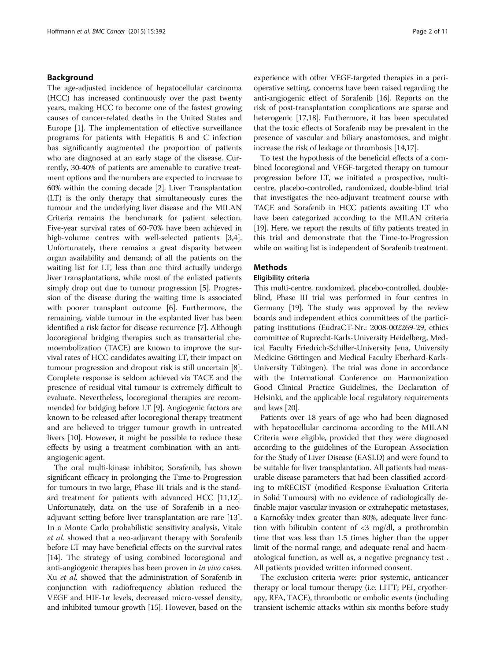#### Background

The age-adjusted incidence of hepatocellular carcinoma (HCC) has increased continuously over the past twenty years, making HCC to become one of the fastest growing causes of cancer-related deaths in the United States and Europe [[1](#page-9-0)]. The implementation of effective surveillance programs for patients with Hepatitis B and C infection has significantly augmented the proportion of patients who are diagnosed at an early stage of the disease. Currently, 30-40% of patients are amenable to curative treatment options and the numbers are expected to increase to 60% within the coming decade [\[2](#page-9-0)]. Liver Transplantation (LT) is the only therapy that simultaneously cures the tumour and the underlying liver disease and the MILAN Criteria remains the benchmark for patient selection. Five-year survival rates of 60-70% have been achieved in high-volume centres with well-selected patients [[3](#page-9-0),[4](#page-9-0)]. Unfortunately, there remains a great disparity between organ availability and demand; of all the patients on the waiting list for LT, less than one third actually undergo liver transplantations, while most of the enlisted patients simply drop out due to tumour progression [\[5\]](#page-9-0). Progression of the disease during the waiting time is associated with poorer transplant outcome [\[6\]](#page-9-0). Furthermore, the remaining, viable tumour in the explanted liver has been identified a risk factor for disease recurrence [\[7\]](#page-9-0). Although locoregional bridging therapies such as transarterial chemoembolization (TACE) are known to improve the survival rates of HCC candidates awaiting LT, their impact on tumour progression and dropout risk is still uncertain [[8](#page-9-0)]. Complete response is seldom achieved via TACE and the presence of residual vital tumour is extremely difficult to evaluate. Nevertheless, locoregional therapies are recommended for bridging before LT [\[9](#page-9-0)]. Angiogenic factors are known to be released after locoregional therapy treatment and are believed to trigger tumour growth in untreated livers [\[10\]](#page-9-0). However, it might be possible to reduce these effects by using a treatment combination with an antiangiogenic agent.

The oral multi-kinase inhibitor, Sorafenib, has shown significant efficacy in prolonging the Time-to-Progression for tumours in two large, Phase III trials and is the standard treatment for patients with advanced HCC [\[11,12](#page-9-0)]. Unfortunately, data on the use of Sorafenib in a neoadjuvant setting before liver transplantation are rare [[13](#page-9-0)]. In a Monte Carlo probabilistic sensitivity analysis, Vitale et al. showed that a neo-adjuvant therapy with Sorafenib before LT may have beneficial effects on the survival rates [[14](#page-9-0)]. The strategy of using combined locoregional and anti-angiogenic therapies has been proven in in vivo cases. Xu et al. showed that the administration of Sorafenib in conjunction with radiofrequency ablation reduced the VEGF and HIF-1α levels, decreased micro-vessel density, and inhibited tumour growth [[15](#page-9-0)]. However, based on the

experience with other VEGF-targeted therapies in a perioperative setting, concerns have been raised regarding the anti-angiogenic effect of Sorafenib [[16](#page-9-0)]. Reports on the risk of post-transplantation complications are sparse and heterogenic [\[17,18\]](#page-9-0). Furthermore, it has been speculated that the toxic effects of Sorafenib may be prevalent in the presence of vascular and biliary anastomoses, and might increase the risk of leakage or thrombosis [\[14,17\]](#page-9-0).

To test the hypothesis of the beneficial effects of a combined locoregional and VEGF-targeted therapy on tumour progression before LT, we initiated a prospective, multicentre, placebo-controlled, randomized, double-blind trial that investigates the neo-adjuvant treatment course with TACE and Sorafenib in HCC patients awaiting LT who have been categorized according to the MILAN criteria [[19](#page-9-0)]. Here, we report the results of fifty patients treated in this trial and demonstrate that the Time-to-Progression while on waiting list is independent of Sorafenib treatment.

# Methods

## Eligibility criteria

This multi-centre, randomized, placebo-controlled, doubleblind, Phase III trial was performed in four centres in Germany [[19](#page-9-0)]. The study was approved by the review boards and independent ethics committees of the participating institutions (EudraCT-Nr.: [2008-002269-29](https://eudract.ema.europa.eu/), ethics committee of Ruprecht-Karls-University Heidelberg, Medical Faculty Friedrich-Schiller-University Jena, University Medicine Göttingen and Medical Faculty Eberhard-Karls-University Tübingen). The trial was done in accordance with the International Conference on Harmonization Good Clinical Practice Guidelines, the Declaration of Helsinki, and the applicable local regulatory requirements and laws [\[20\]](#page-9-0).

Patients over 18 years of age who had been diagnosed with hepatocellular carcinoma according to the MILAN Criteria were eligible, provided that they were diagnosed according to the guidelines of the European Association for the Study of Liver Disease (EASLD) and were found to be suitable for liver transplantation. All patients had measurable disease parameters that had been classified according to mRECIST (modified Response Evaluation Criteria in Solid Tumours) with no evidence of radiologically definable major vascular invasion or extrahepatic metastases, a Karnofsky index greater than 80%, adequate liver function with bilirubin content of <3 mg/dl, a prothrombin time that was less than 1.5 times higher than the upper limit of the normal range, and adequate renal and haematological function, as well as, a negative pregnancy test . All patients provided written informed consent.

The exclusion criteria were: prior systemic, anticancer therapy or local tumour therapy (i.e. LITT; PEI, cryotherapy, RFA, TACE), thrombotic or embolic events (including transient ischemic attacks within six months before study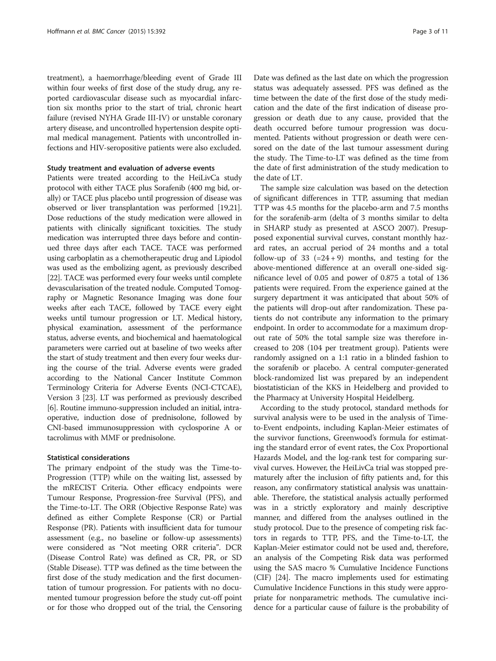treatment), a haemorrhage/bleeding event of Grade III within four weeks of first dose of the study drug, any reported cardiovascular disease such as myocardial infarction six months prior to the start of trial, chronic heart failure (revised NYHA Grade III-IV) or unstable coronary artery disease, and uncontrolled hypertension despite optimal medical management. Patients with uncontrolled infections and HIV-seropositive patients were also excluded.

# Study treatment and evaluation of adverse events

Patients were treated according to the HeiLivCa study protocol with either TACE plus Sorafenib (400 mg bid, orally) or TACE plus placebo until progression of disease was observed or liver transplantation was performed [\[19,21](#page-9-0)]. Dose reductions of the study medication were allowed in patients with clinically significant toxicities. The study medication was interrupted three days before and continued three days after each TACE. TACE was performed using carboplatin as a chemotherapeutic drug and Lipiodol was used as the embolizing agent, as previously described [[22](#page-9-0)]. TACE was performed every four weeks until complete devascularisation of the treated nodule. Computed Tomography or Magnetic Resonance Imaging was done four weeks after each TACE, followed by TACE every eight weeks until tumour progression or LT. Medical history, physical examination, assessment of the performance status, adverse events, and biochemical and haematological parameters were carried out at baseline of two weeks after the start of study treatment and then every four weeks during the course of the trial. Adverse events were graded according to the National Cancer Institute Common Terminology Criteria for Adverse Events (NCI-CTCAE), Version 3 [\[23\]](#page-9-0). LT was performed as previously described [[6](#page-9-0)]. Routine immuno-suppression included an initial, intraoperative, induction dose of prednisolone, followed by CNI-based immunosuppression with cyclosporine A or tacrolimus with MMF or prednisolone.

#### Statistical considerations

The primary endpoint of the study was the Time-to-Progression (TTP) while on the waiting list, assessed by the mRECIST Criteria. Other efficacy endpoints were Tumour Response, Progression-free Survival (PFS), and the Time-to-LT. The ORR (Objective Response Rate) was defined as either Complete Response (CR) or Partial Response (PR). Patients with insufficient data for tumour assessment (e.g., no baseline or follow-up assessments) were considered as "Not meeting ORR criteria". DCR (Disease Control Rate) was defined as CR, PR, or SD (Stable Disease). TTP was defined as the time between the first dose of the study medication and the first documentation of tumour progression. For patients with no documented tumour progression before the study cut-off point or for those who dropped out of the trial, the Censoring

Date was defined as the last date on which the progression status was adequately assessed. PFS was defined as the time between the date of the first dose of the study medication and the date of the first indication of disease progression or death due to any cause, provided that the death occurred before tumour progression was documented. Patients without progression or death were censored on the date of the last tumour assessment during the study. The Time-to-LT was defined as the time from the date of first administration of the study medication to the date of LT.

The sample size calculation was based on the detection of significant differences in TTP, assuming that median TTP was 4.5 months for the placebo-arm and 7.5 months for the sorafenib-arm (delta of 3 months similar to delta in SHARP study as presented at ASCO 2007). Presupposed exponential survival curves, constant monthly hazard rates, an accrual period of 24 months and a total follow-up of 33  $(=24+9)$  months, and testing for the above-mentioned difference at an overall one-sided significance level of 0.05 and power of 0.875 a total of 136 patients were required. From the experience gained at the surgery department it was anticipated that about 50% of the patients will drop-out after randomization. These patients do not contribute any information to the primary endpoint. In order to accommodate for a maximum dropout rate of 50% the total sample size was therefore increased to 208 (104 per treatment group). Patients were randomly assigned on a 1:1 ratio in a blinded fashion to the sorafenib or placebo. A central computer-generated block-randomized list was prepared by an independent biostatistician of the KKS in Heidelberg and provided to the Pharmacy at University Hospital Heidelberg.

According to the study protocol, standard methods for survival analysis were to be used in the analysis of Timeto-Event endpoints, including Kaplan-Meier estimates of the survivor functions, Greenwood's formula for estimating the standard error of event rates, the Cox Proportional Hazards Model, and the log-rank test for comparing survival curves. However, the HeiLivCa trial was stopped prematurely after the inclusion of fifty patients and, for this reason, any confirmatory statistical analysis was unattainable. Therefore, the statistical analysis actually performed was in a strictly exploratory and mainly descriptive manner, and differed from the analyses outlined in the study protocol. Due to the presence of competing risk factors in regards to TTP, PFS, and the Time-to-LT, the Kaplan-Meier estimator could not be used and, therefore, an analysis of the Competing Risk data was performed using the SAS macro % Cumulative Incidence Functions (CIF) [[24\]](#page-9-0). The macro implements used for estimating Cumulative Incidence Functions in this study were appropriate for nonparametric methods. The cumulative incidence for a particular cause of failure is the probability of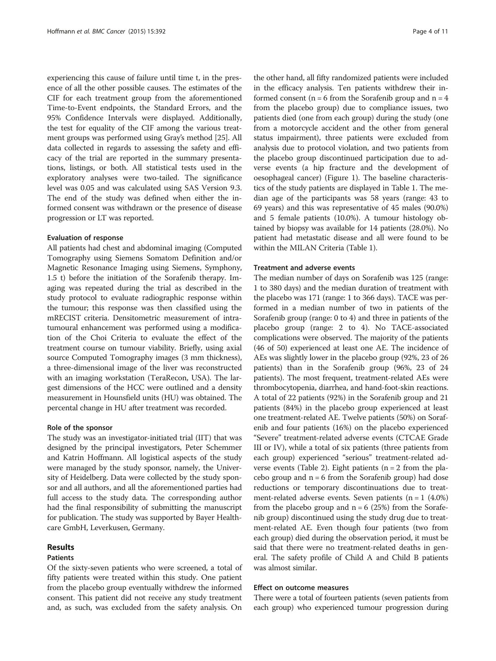experiencing this cause of failure until time t, in the presence of all the other possible causes. The estimates of the CIF for each treatment group from the aforementioned Time-to-Event endpoints, the Standard Errors, and the 95% Confidence Intervals were displayed. Additionally, the test for equality of the CIF among the various treatment groups was performed using Gray's method [\[25\]](#page-9-0). All data collected in regards to assessing the safety and efficacy of the trial are reported in the summary presentations, listings, or both. All statistical tests used in the exploratory analyses were two-tailed. The significance level was 0.05 and was calculated using SAS Version 9.3. The end of the study was defined when either the informed consent was withdrawn or the presence of disease progression or LT was reported.

#### Evaluation of response

All patients had chest and abdominal imaging (Computed Tomography using Siemens Somatom Definition and/or Magnetic Resonance Imaging using Siemens, Symphony, 1.5 t) before the initiation of the Sorafenib therapy. Imaging was repeated during the trial as described in the study protocol to evaluate radiographic response within the tumour; this response was then classified using the mRECIST criteria. Densitometric measurement of intratumoural enhancement was performed using a modification of the Choi Criteria to evaluate the effect of the treatment course on tumour viability. Briefly, using axial source Computed Tomography images (3 mm thickness), a three-dimensional image of the liver was reconstructed with an imaging workstation (TeraRecon, USA). The largest dimensions of the HCC were outlined and a density measurement in Hounsfield units (HU) was obtained. The percental change in HU after treatment was recorded.

#### Role of the sponsor

The study was an investigator-initiated trial (IIT) that was designed by the principal investigators, Peter Schemmer and Katrin Hoffmann. All logistical aspects of the study were managed by the study sponsor, namely, the University of Heidelberg. Data were collected by the study sponsor and all authors, and all the aforementioned parties had full access to the study data. The corresponding author had the final responsibility of submitting the manuscript for publication. The study was supported by Bayer Healthcare GmbH, Leverkusen, Germany.

# Results

## Patients

Of the sixty-seven patients who were screened, a total of fifty patients were treated within this study. One patient from the placebo group eventually withdrew the informed consent. This patient did not receive any study treatment and, as such, was excluded from the safety analysis. On

the other hand, all fifty randomized patients were included in the efficacy analysis. Ten patients withdrew their informed consent ( $n = 6$  from the Sorafenib group and  $n = 4$ from the placebo group) due to compliance issues, two patients died (one from each group) during the study (one from a motorcycle accident and the other from general status impairment), three patients were excluded from analysis due to protocol violation, and two patients from the placebo group discontinued participation due to adverse events (a hip fracture and the development of oesophageal cancer) (Figure [1](#page-4-0)). The baseline characteristics of the study patients are displayed in Table [1](#page-5-0). The median age of the participants was 58 years (range: 43 to 69 years) and this was representative of 45 males (90.0%) and 5 female patients (10.0%). A tumour histology obtained by biopsy was available for 14 patients (28.0%). No patient had metastatic disease and all were found to be within the MILAN Criteria (Table [1](#page-5-0)).

#### Treatment and adverse events

The median number of days on Sorafenib was 125 (range: 1 to 380 days) and the median duration of treatment with the placebo was 171 (range: 1 to 366 days). TACE was performed in a median number of two in patients of the Sorafenib group (range: 0 to 4) and three in patients of the placebo group (range: 2 to 4). No TACE-associated complications were observed. The majority of the patients (46 of 50) experienced at least one AE. The incidence of AEs was slightly lower in the placebo group (92%, 23 of 26 patients) than in the Sorafenib group (96%, 23 of 24 patients). The most frequent, treatment-related AEs were thrombocytopenia, diarrhea, and hand-foot-skin reactions. A total of 22 patients (92%) in the Sorafenib group and 21 patients (84%) in the placebo group experienced at least one treatment-related AE. Twelve patients (50%) on Sorafenib and four patients (16%) on the placebo experienced "Severe" treatment-related adverse events (CTCAE Grade III or IV), while a total of six patients (three patients from each group) experienced "serious" treatment-related ad-verse events (Table [2](#page-5-0)). Eight patients  $(n = 2 \text{ from the pla-}$ cebo group and  $n = 6$  from the Sorafenib group) had dose reductions or temporary discontinuations due to treatment-related adverse events. Seven patients  $(n = 1 \ (4.0\%)$ from the placebo group and  $n = 6$  (25%) from the Sorafenib group) discontinued using the study drug due to treatment-related AE. Even though four patients (two from each group) died during the observation period, it must be said that there were no treatment-related deaths in general. The safety profile of Child A and Child B patients was almost similar.

#### Effect on outcome measures

There were a total of fourteen patients (seven patients from each group) who experienced tumour progression during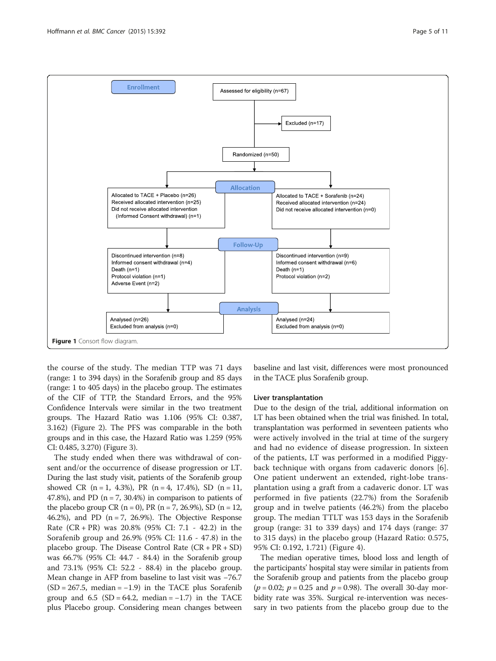<span id="page-4-0"></span>

the course of the study. The median TTP was 71 days (range: 1 to 394 days) in the Sorafenib group and 85 days (range: 1 to 405 days) in the placebo group. The estimates of the CIF of TTP, the Standard Errors, and the 95% Confidence Intervals were similar in the two treatment groups. The Hazard Ratio was 1.106 (95% CI: 0.387, 3.162) (Figure [2](#page-6-0)). The PFS was comparable in the both groups and in this case, the Hazard Ratio was 1.259 (95% CI: 0.485, 3.270) (Figure [3](#page-6-0)).

The study ended when there was withdrawal of consent and/or the occurrence of disease progression or LT. During the last study visit, patients of the Sorafenib group showed CR  $(n = 1, 4.3\%)$ , PR  $(n = 4, 17.4\%)$ , SD  $(n = 11,$ 47.8%), and PD  $(n = 7, 30.4\%)$  in comparison to patients of the placebo group CR (n = 0), PR (n = 7, 26.9%), SD (n = 12, 46.2%), and PD  $(n = 7, 26.9%)$ . The Objective Response Rate (CR + PR) was 20.8% (95% CI: 7.1 - 42.2) in the Sorafenib group and 26.9% (95% CI: 11.6 - 47.8) in the placebo group. The Disease Control Rate  $(CR + PR + SD)$ was 66.7% (95% CI: 44.7 - 84.4) in the Sorafenib group and 73.1% (95% CI: 52.2 - 88.4) in the placebo group. Mean change in AFP from baseline to last visit was −76.7  $(SD = 267.5, \text{ median} = -1.9)$  in the TACE plus Sorafenib group and  $6.5$  (SD = 64.2, median = -1.7) in the TACE plus Placebo group. Considering mean changes between

baseline and last visit, differences were most pronounced in the TACE plus Sorafenib group.

#### Liver transplantation

Due to the design of the trial, additional information on LT has been obtained when the trial was finished. In total, transplantation was performed in seventeen patients who were actively involved in the trial at time of the surgery and had no evidence of disease progression. In sixteen of the patients, LT was performed in a modified Piggyback technique with organs from cadaveric donors [\[6](#page-9-0)]. One patient underwent an extended, right-lobe transplantation using a graft from a cadaveric donor. LT was performed in five patients (22.7%) from the Sorafenib group and in twelve patients (46.2%) from the placebo group. The median TTLT was 153 days in the Sorafenib group (range: 31 to 339 days) and 174 days (range: 37 to 315 days) in the placebo group (Hazard Ratio: 0.575, 95% CI: 0.192, 1.721) (Figure [4](#page-7-0)).

The median operative times, blood loss and length of the participants' hospital stay were similar in patients from the Sorafenib group and patients from the placebo group  $(p = 0.02; p = 0.25$  and  $p = 0.98$ ). The overall 30-day morbidity rate was 35%. Surgical re-intervention was necessary in two patients from the placebo group due to the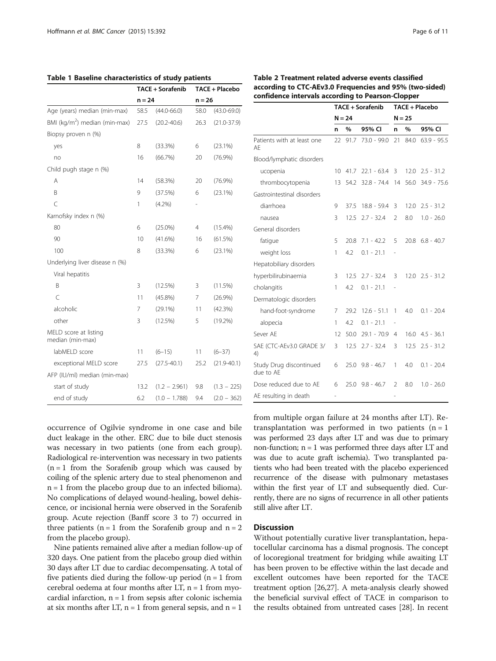<span id="page-5-0"></span>Table 1 Baseline characteristics of study patients

|                                           | TACE + Sorafenib |                 | TACE + Placebo |                 |
|-------------------------------------------|------------------|-----------------|----------------|-----------------|
|                                           | $n = 24$         |                 | $n = 26$       |                 |
| Age (years) median (min-max)              | 58.5             | $(44.0 - 66.0)$ | 58.0           | $(43.0 - 69.0)$ |
| BMI (kg/m <sup>2</sup> ) median (min-max) | 27.5             | $(20.2 - 40.6)$ | 26.3           | $(21.0 - 37.9)$ |
| Biopsy proven n (%)                       |                  |                 |                |                 |
| yes                                       | 8                | (33.3%)         | 6              | $(23.1\%)$      |
| no                                        | 16               | (66.7%)         | 20             | (76.9%)         |
| Child pugh stage n (%)                    |                  |                 |                |                 |
| A                                         | 14               | (58.3%)         | 20             | $(76.9\%)$      |
| B                                         | 9                | (37.5%)         | 6              | $(23.1\%)$      |
| $\overline{C}$                            | 1                | (4.2%)          |                |                 |
| Karnofsky index n (%)                     |                  |                 |                |                 |
| 80                                        | 6                | $(25.0\%)$      | $\overline{4}$ | $(15.4\%)$      |
| 90                                        | 10               | $(41.6\%)$      | 16             | (61.5%)         |
| 100                                       | 8                | (33.3%)         | 6              | $(23.1\%)$      |
| Underlying liver disease n (%)            |                  |                 |                |                 |
| Viral hepatitis                           |                  |                 |                |                 |
| B                                         | 3                | (12.5%)         | 3              | (11.5%)         |
| $\overline{C}$                            | 11               | $(45.8\%)$      | 7              | (26.9%)         |
| alcoholic                                 | 7                | $(29.1\%)$      | 11             | (42.3%)         |
| other                                     | 3                | (12.5%)         | 5              | $(19.2\%)$      |
| MELD score at listing<br>median (min-max) |                  |                 |                |                 |
| labMELD score                             | 11               | $(6 - 15)$      | 11             | $(6-37)$        |
| exceptional MELD score                    | 27.5             | $(27.5 - 40.1)$ | 25.2           | $(21.9 - 40.1)$ |
| AFP (IU/ml) median (min-max)              |                  |                 |                |                 |
| start of study                            | 13.2             | $(1.2 - 2.961)$ | 9.8            | $(1.3 - 225)$   |
| end of study                              | 6.2              | $(1.0 - 1.788)$ | 9.4            | $(2.0 - 362)$   |

Table 2 Treatment related adverse events classified according to CTC-AEv3.0 Frequencies and 95% (two-sided) confidence intervals according to Pearson-Clopper

|                                      |              | TACE + Sorafenib<br>$N = 24$ |                     |                | TACE + Placebo<br>$N = 25$ |                     |  |
|--------------------------------------|--------------|------------------------------|---------------------|----------------|----------------------------|---------------------|--|
|                                      |              |                              |                     |                |                            |                     |  |
|                                      | n            | $\%$                         | 95% CI              | n              | $\%$                       | 95% CI              |  |
| Patients with at least one<br>AF     | 22           | 91.7                         | $73.0 - 99.0$       | 21             | 84.0                       | $63.9 - 95.5$       |  |
| Blood/lymphatic disorders            |              |                              |                     |                |                            |                     |  |
| ucopenia                             | 10           | 41.7                         | $22.1 - 63.4$       | $\overline{3}$ | 12.0                       | $2.5 - 31.2$        |  |
| thrombocytopenia                     | 13           |                              | 54.2 32.8 - 74.4    | 14             | 56.0                       | 34.9 - 75.6         |  |
| Gastrointestinal disorders           |              |                              |                     |                |                            |                     |  |
| diarrhoea                            | 9            | 37.5                         | $18.8 - 59.4$       | 3              | 12.0                       | $2.5 - 31.2$        |  |
| nausea                               | 3            | 12.5                         | $2.7 - 32.4$        | $\mathfrak{D}$ | 8.0                        | $1.0 - 26.0$        |  |
| General disorders                    |              |                              |                     |                |                            |                     |  |
| fatique                              | 5            | 20.8                         | $7.1 - 42.2$        | 5              |                            | $20.8$ 6.8 - 40.7   |  |
| weight loss                          | 1            | 4.2                          | $0.1 - 21.1$        | $\frac{1}{2}$  |                            |                     |  |
| Hepatobiliary disorders              |              |                              |                     |                |                            |                     |  |
| hyperbilirubinaemia                  | 3            | 12.5                         | $2.7 - 32.4$        | 3              |                            | $12.0$ $2.5 - 31.2$ |  |
| cholangitis                          | 1            | 4.2                          | $0.1 - 21.1$        | $\overline{a}$ |                            |                     |  |
| Dermatologic disorders               |              |                              |                     |                |                            |                     |  |
| hand-foot-syndrome                   | 7            | 29.2                         | $12.6 - 51.1$       | 1              | 4.0                        | $0.1 - 20.4$        |  |
| alopecia                             | $\mathbf{1}$ | 4.2                          | $0.1 - 21.1$        | $\overline{a}$ |                            |                     |  |
| Sever AF                             | 12           | 50.0                         | $29.1 - 70.9$       | $\overline{4}$ | 16.0                       | $4.5 - 36.1$        |  |
| SAE (CTC-AEv3.0 GRADE 3/<br>4)       | 3            | 12.5                         | $2.7 - 32.4$        | 3              | 12.5                       | $2.5 - 31.2$        |  |
| Study Drug discontinued<br>due to AF | 6            |                              | $25.0$ $9.8 - 46.7$ | 1              | 4.0                        | $0.1 - 20.4$        |  |
| Dose reduced due to AE               | 6            | 25.0                         | $9.8 - 46.7$        | $\mathfrak{D}$ | 8.0                        | $1.0 - 26.0$        |  |
| AE resulting in death                |              |                              |                     | $\overline{a}$ |                            |                     |  |

occurrence of Ogilvie syndrome in one case and bile duct leakage in the other. ERC due to bile duct stenosis was necessary in two patients (one from each group). Radiological re-intervention was necessary in two patients  $(n = 1)$  from the Sorafenib group which was caused by coiling of the splenic artery due to steal phenomenon and n = 1 from the placebo group due to an infected bilioma). No complications of delayed wound-healing, bowel dehiscence, or incisional hernia were observed in the Sorafenib group. Acute rejection (Banff score 3 to 7) occurred in three patients ( $n = 1$  from the Sorafenib group and  $n = 2$ from the placebo group).

Nine patients remained alive after a median follow-up of 320 days. One patient from the placebo group died within 30 days after LT due to cardiac decompensating. A total of five patients died during the follow-up period ( $n = 1$  from cerebral oedema at four months after  $LT$ ,  $n = 1$  from myocardial infarction,  $n = 1$  from sepsis after colonic ischemia at six months after LT,  $n = 1$  from general sepsis, and  $n = 1$ 

from multiple organ failure at 24 months after LT). Retransplantation was performed in two patients  $(n = 1)$ was performed 23 days after LT and was due to primary non-function;  $n = 1$  was performed three days after LT and was due to acute graft ischemia). Two transplanted patients who had been treated with the placebo experienced recurrence of the disease with pulmonary metastases within the first year of LT and subsequently died. Currently, there are no signs of recurrence in all other patients still alive after LT.

# **Discussion**

Without potentially curative liver transplantation, hepatocellular carcinoma has a dismal prognosis. The concept of locoregional treatment for bridging while awaiting LT has been proven to be effective within the last decade and excellent outcomes have been reported for the TACE treatment option [\[26,27\]](#page-9-0). A meta-analysis clearly showed the beneficial survival effect of TACE in comparison to the results obtained from untreated cases [[28](#page-9-0)]. In recent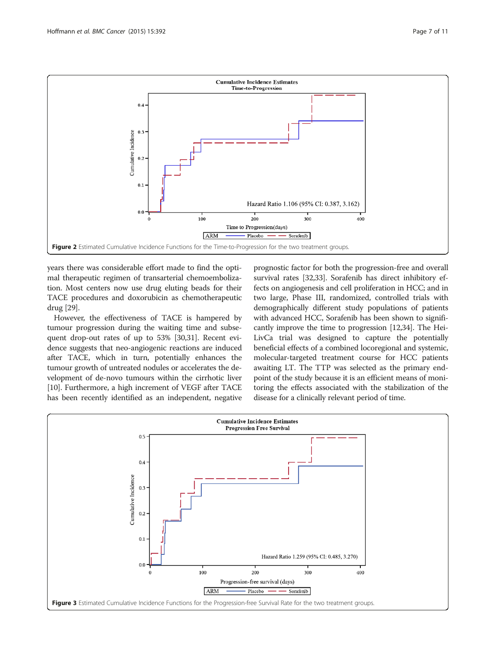<span id="page-6-0"></span>

years there was considerable effort made to find the optimal therapeutic regimen of transarterial chemoembolization. Most centers now use drug eluting beads for their TACE procedures and doxorubicin as chemotherapeutic drug [\[29\]](#page-9-0).

However, the effectiveness of TACE is hampered by tumour progression during the waiting time and subsequent drop-out rates of up to 53% [[30,31\]](#page-9-0). Recent evidence suggests that neo-angiogenic reactions are induced after TACE, which in turn, potentially enhances the tumour growth of untreated nodules or accelerates the development of de-novo tumours within the cirrhotic liver [[10](#page-9-0)]. Furthermore, a high increment of VEGF after TACE has been recently identified as an independent, negative

prognostic factor for both the progression-free and overall survival rates [\[32,33\]](#page-9-0). Sorafenib has direct inhibitory effects on angiogenesis and cell proliferation in HCC; and in two large, Phase III, randomized, controlled trials with demographically different study populations of patients with advanced HCC, Sorafenib has been shown to significantly improve the time to progression [\[12,34\]](#page-9-0). The Hei-LivCa trial was designed to capture the potentially beneficial effects of a combined locoregional and systemic, molecular-targeted treatment course for HCC patients awaiting LT. The TTP was selected as the primary endpoint of the study because it is an efficient means of monitoring the effects associated with the stabilization of the disease for a clinically relevant period of time.

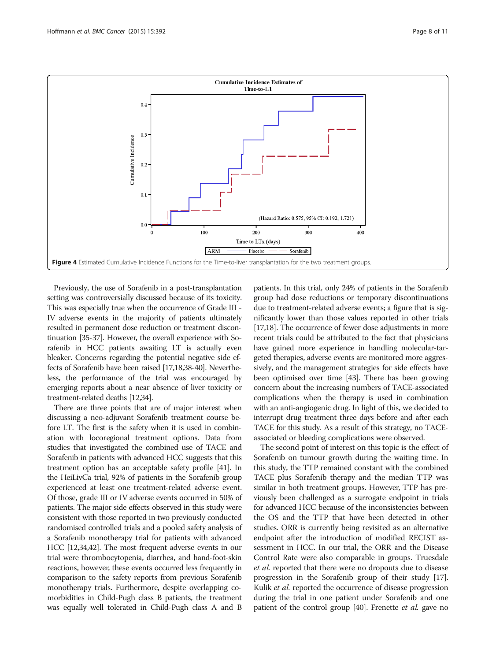<span id="page-7-0"></span>

Previously, the use of Sorafenib in a post-transplantation setting was controversially discussed because of its toxicity. This was especially true when the occurrence of Grade III - IV adverse events in the majority of patients ultimately resulted in permanent dose reduction or treatment discontinuation [\[35-37](#page-9-0)]. However, the overall experience with Sorafenib in HCC patients awaiting LT is actually even bleaker. Concerns regarding the potential negative side effects of Sorafenib have been raised [\[17,18,38](#page-9-0)-[40](#page-9-0)]. Nevertheless, the performance of the trial was encouraged by emerging reports about a near absence of liver toxicity or treatment-related deaths [\[12,34\]](#page-9-0).

There are three points that are of major interest when discussing a neo-adjuvant Sorafenib treatment course before LT. The first is the safety when it is used in combination with locoregional treatment options. Data from studies that investigated the combined use of TACE and Sorafenib in patients with advanced HCC suggests that this treatment option has an acceptable safety profile [\[41\]](#page-9-0). In the HeiLivCa trial, 92% of patients in the Sorafenib group experienced at least one treatment-related adverse event. Of those, grade III or IV adverse events occurred in 50% of patients. The major side effects observed in this study were consistent with those reported in two previously conducted randomised controlled trials and a pooled safety analysis of a Sorafenib monotherapy trial for patients with advanced HCC [[12,34,42](#page-9-0)]. The most frequent adverse events in our trial were thrombocytopenia, diarrhea, and hand-foot-skin reactions, however, these events occurred less frequently in comparison to the safety reports from previous Sorafenib monotherapy trials. Furthermore, despite overlapping comorbidities in Child-Pugh class B patients, the treatment was equally well tolerated in Child-Pugh class A and B

patients. In this trial, only 24% of patients in the Sorafenib group had dose reductions or temporary discontinuations due to treatment-related adverse events; a figure that is significantly lower than those values reported in other trials [[17,18\]](#page-9-0). The occurrence of fewer dose adjustments in more recent trials could be attributed to the fact that physicians have gained more experience in handling molecular-targeted therapies, adverse events are monitored more aggressively, and the management strategies for side effects have been optimised over time [\[43\]](#page-9-0). There has been growing concern about the increasing numbers of TACE-associated complications when the therapy is used in combination with an anti-angiogenic drug. In light of this, we decided to interrupt drug treatment three days before and after each TACE for this study. As a result of this strategy, no TACEassociated or bleeding complications were observed.

The second point of interest on this topic is the effect of Sorafenib on tumour growth during the waiting time. In this study, the TTP remained constant with the combined TACE plus Sorafenib therapy and the median TTP was similar in both treatment groups. However, TTP has previously been challenged as a surrogate endpoint in trials for advanced HCC because of the inconsistencies between the OS and the TTP that have been detected in other studies. ORR is currently being revisited as an alternative endpoint after the introduction of modified RECIST assessment in HCC. In our trial, the ORR and the Disease Control Rate were also comparable in groups. Truesdale et al. reported that there were no dropouts due to disease progression in the Sorafenib group of their study [[17](#page-9-0)]. Kulik *et al.* reported the occurrence of disease progression during the trial in one patient under Sorafenib and one patient of the control group [\[40\]](#page-9-0). Frenette *et al.* gave no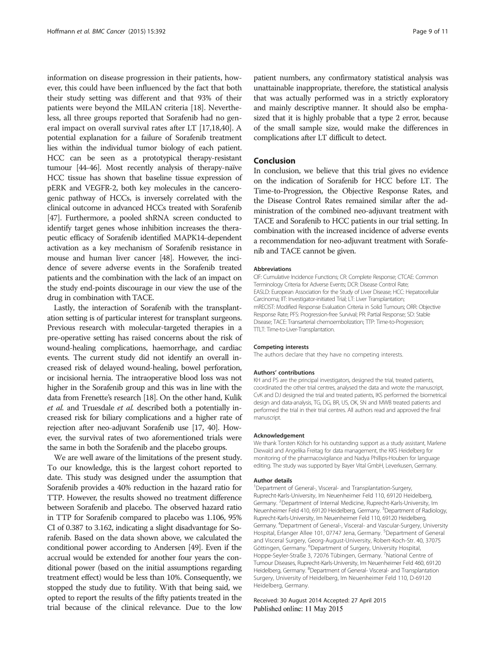information on disease progression in their patients, however, this could have been influenced by the fact that both their study setting was different and that 93% of their patients were beyond the MILAN criteria [\[18\]](#page-9-0). Nevertheless, all three groups reported that Sorafenib had no general impact on overall survival rates after LT [\[17,18,40](#page-9-0)]. A potential explanation for a failure of Sorafenib treatment lies within the individual tumor biology of each patient. HCC can be seen as a prototypical therapy-resistant tumour [[44-46\]](#page-10-0). Most recently analysis of therapy-naïve HCC tissue has shown that baseline tissue expression of pERK and VEGFR-2, both key molecules in the cancerogenic pathway of HCCs, is inversely correlated with the clinical outcome in advanced HCCs treated with Sorafenib [[47](#page-10-0)]. Furthermore, a pooled shRNA screen conducted to identify target genes whose inhibition increases the therapeutic efficacy of Sorafenib identified MAPK14-dependent activation as a key mechanism of Sorafenib resistance in mouse and human liver cancer [[48](#page-10-0)]. However, the incidence of severe adverse events in the Sorafenib treated patients and the combination with the lack of an impact on the study end-points discourage in our view the use of the drug in combination with TACE.

Lastly, the interaction of Sorafenib with the transplantation setting is of particular interest for transplant surgeons. Previous research with molecular-targeted therapies in a pre-operative setting has raised concerns about the risk of wound-healing complications, haemorrhage, and cardiac events. The current study did not identify an overall increased risk of delayed wound-healing, bowel perforation, or incisional hernia. The intraoperative blood loss was not higher in the Sorafenib group and this was in line with the data from Frenette's research [\[18](#page-9-0)]. On the other hand, Kulik et al. and Truesdale et al. described both a potentially increased risk for biliary complications and a higher rate of rejection after neo-adjuvant Sorafenib use [[17, 40\]](#page-9-0). However, the survival rates of two aforementioned trials were the same in both the Sorafenib and the placebo groups.

We are well aware of the limitations of the present study. To our knowledge, this is the largest cohort reported to date. This study was designed under the assumption that Sorafenib provides a 40% reduction in the hazard ratio for TTP. However, the results showed no treatment difference between Sorafenib and placebo. The observed hazard ratio in TTP for Sorafenib compared to placebo was 1.106, 95% CI of 0.387 to 3.162, indicating a slight disadvantage for Sorafenib. Based on the data shown above, we calculated the conditional power according to Andersen [\[49\]](#page-10-0). Even if the accrual would be extended for another four years the conditional power (based on the initial assumptions regarding treatment effect) would be less than 10%. Consequently, we stopped the study due to futility. With that being said, we opted to report the results of the fifty patients treated in the trial because of the clinical relevance. Due to the low patient numbers, any confirmatory statistical analysis was unattainable inappropriate, therefore, the statistical analysis that was actually performed was in a strictly exploratory and mainly descriptive manner. It should also be emphasized that it is highly probable that a type 2 error, because of the small sample size, would make the differences in complications after LT difficult to detect.

## Conclusion

In conclusion, we believe that this trial gives no evidence on the indication of Sorafenib for HCC before LT. The Time-to-Progression, the Objective Response Rates, and the Disease Control Rates remained similar after the administration of the combined neo-adjuvant treatment with TACE and Sorafenib to HCC patients in our trial setting. In combination with the increased incidence of adverse events a recommendation for neo-adjuvant treatment with Sorafenib and TACE cannot be given.

#### Abbreviations

CIF: Cumulative Incidence Functions; CR: Complete Response; CTCAE: Common Terminology Criteria for Adverse Events; DCR: Disease Control Rate; EASLD: European Association for the Study of Liver Disease; HCC: Hepatocellular Carcinoma; IIT: Investigator-initiated Trial; LT: Liver Transplantation; mRECIST: Modified Response Evaluation Criteria in Solid Tumours; ORR: Objective Response Rate; PFS: Progression-free Survival; PR: Partial Response; SD: Stable Disease; TACE: Transarterial chemoembolization; TTP: Time-to-Progression; TTLT: Time-to-Liver-Transplantation.

#### Competing interests

The authors declare that they have no competing interests.

#### Authors' contributions

KH and PS are the principal investigators, designed the trial, treated patients, coordinated the other trial centres, analysed the data and wrote the manuscript, CvK and DJ designed the trial and treated patients, IKS performed the biometrical design and data-analysis, TG, DG, BR, US, OK, SN and MWB treated patients and performed the trial in their trial centres. All authors read and approved the final manuscript.

#### Acknowledgement

We thank Torsten Kölsch for his outstanding support as a study assistant, Marlene Diewald and Angelika Freitag for data management, the KKS Heidelberg for monitoring of the pharmacovigilance and Nadya Phillips-Houben for language editing. The study was supported by Bayer Vital GmbH, Leverkusen, Germany.

#### Author details

<sup>1</sup>Department of General-, Visceral- and Transplantation-Surgery, Ruprecht-Karls-University, Im Neuenheimer Feld 110, 69120 Heidelberg, Germany. <sup>2</sup>Department of Internal Medicine, Ruprecht-Karls-University, Im Neuenheimer Feld 410, 69120 Heidelberg, Germany. <sup>3</sup>Department of Radiology, Ruprecht-Karls-University, Im Neuenheimer Feld 110, 69120 Heidelberg, Germany. <sup>4</sup> Department of General-, Visceral- and Vascular-Surgery, University Hospital, Erlanger Allee 101, 07747 Jena, Germany. <sup>5</sup>Department of General and Visceral Surgery, Georg-August-University, Robert-Koch-Str. 40, 37075 Göttingen, Germany. <sup>6</sup>Department of Surgery, University Hospital, Hoppe-Seyler-Straße 3, 72076 Tübingen, Germany. <sup>7</sup>National Centre of Tumour Diseases, Ruprecht-Karls-University, Im Neuenheimer Feld 460, 69120 Heidelberg, Germany. <sup>8</sup>Department of General- Visceral- and Transplantation Surgery, University of Heidelberg, Im Neuenheimer Feld 110, D-69120 Heidelberg, Germany.

#### Received: 30 August 2014 Accepted: 27 April 2015 Published online: 11 May 2015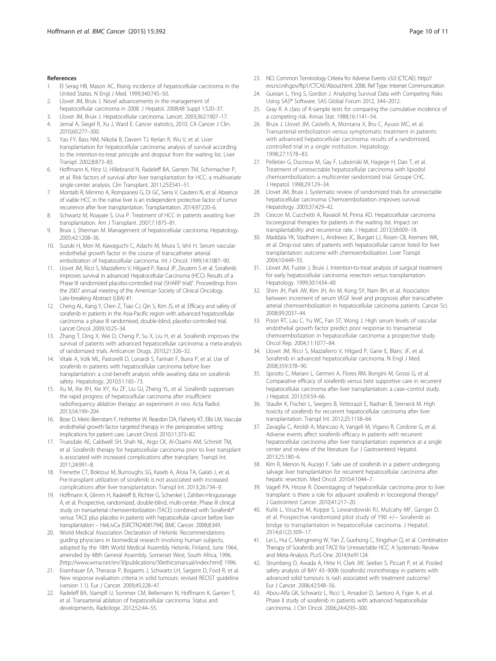- <span id="page-9-0"></span>1. El Serag HB, Mason AC. Rising incidence of hepatocellular carcinoma in the United States. N Engl J Med. 1999;340:745–50.
- Llovet JM, Bruix J. Novel advancements in the management of hepatocellular carcinoma in 2008. J Hepatol. 2008;48 Suppl 1:S20–37.
- 3. Llovet JM, Bruix J. Hepatocellular carcinoma. Lancet. 2003;362:1907–17.
- 4. Jemal A, Siegel R, Xu J, Ward E. Cancer statistics, 2010. CA Cancer J Clin. 2010;60:277–300.
- 5. Yao FY, Bass NM, Nikolai B, Davern TJ, Kerlan R, Wu V, et al. Liver transplantation for hepatocellular carcinoma: analysis of survival according to the intention-to-treat principle and dropout from the waiting list. Liver Transpl. 2002;8:873–83.
- 6. Hoffmann K, Hinz U, Hillebrand N, Radeleff BA, Ganten TM, Schirmacher P, et al. Risk factors of survival after liver transplantation for HCC: a multivariate single-center analysis. Clin Transplant. 2011;25:E541–51.
- 7. Montalti R, Mimmo A, Rompianesi G, Di GC, Serra V, Cautero N, et al. Absence of viable HCC in the native liver is an independent protective factor of tumor recurrence after liver transplantation. Transplantation. 2014;97:220–6.
- 8. Schwartz M, Roayaie S, Uva P. Treatment of HCC in patients awaiting liver transplantation. Am J Transplant. 2007;7:1875–81.
- 9. Bruix J, Sherman M. Management of hepatocellular carcinoma. Hepatology. 2005;42:1208–36.
- 10. Suzuki H, Mori M, Kawaguchi C, Adachi M, Miura S, Ishii H. Serum vascular endothelial growth factor in the course of transcatheter arterial embolization of hepatocellular carcinoma. Int J Oncol. 1999;14:1087–90.
- 11. Llovet JM, Ricci S, Mazzaferro V, Hilgard P, Raoul JP, Zeuzem S et al. Sorafenib improves survival in advanced Hepatocellular Carcinoma (HCC): Results of a Phase III randomized placebo-controlled trial (SHARP trial)". Proceedings from the 2007 annual meeting of the American Society of Clinical Oncology. Late-breaking Abstract (LBA) #1.
- 12. Cheng AL, Kang Y, Chen Z, Tsao CJ, Qin S, Kim JS, et al. Efficacy and safety of sorafenib in patients in the Asia-Pacific region with advanced hepatocellular carcinoma: a phase III randomised, double-blind, placebo-controlled trial. Lancet Oncol. 2009;10:25–34.
- 13. Zhang T, Ding X, Wei D, Cheng P, Su X, Liu H, et al. Sorafenib improves the survival of patients with advanced hepatocellular carcinoma: a meta-analysis of randomized trials. Anticancer Drugs. 2010;21:326–32.
- 14. Vitale A, Volk ML, Pastorelli D, Lonardi S, Farinati F, Burra P, et al. Use of sorafenib in patients with hepatocellular carcinoma before liver transplantation: a cost-benefit analysis while awaiting data on sorafenib safety. Hepatology. 2010;51:165–73.
- 15. Xu M, Xie XH, Xie XY, Xu ZF, Liu GJ, Zheng YL, et al. Sorafenib suppresses the rapid progress of hepatocellular carcinoma after insufficient radiofrequency ablation therapy: an experiment in vivo. Acta Radiol. 2013;54:199–204.
- 16. Bose D, Meric-Bernstam F, Hofstetter W, Reardon DA, Flaherty KT, Ellis LM. Vascular endothelial growth factor targeted therapy in the perioperative setting: implications for patient care. Lancet Oncol. 2010;11:373–82.
- 17. Truesdale AE, Caldwell SH, Shah NL, Argo CK, Al-Osaimi AM, Schmitt TM, et al. Sorafenib therapy for hepatocellular carcinoma prior to liver transplant is associated with increased complications after transplant. Transpl Int. 2011;24:991–8.
- 18. Frenette CT, Boktour M, Burroughs SG, Kaseb A, Aloia TA, Galati J, et al. Pre-transplant utilization of sorafenib is not associated with increased complications after liver transplantation. Transpl Int. 2013;26:734–9.
- 19. Hoffmann K, Glimm H, Radeleff B, Richter G, Schenkel I, Zahlten-Hinguranage A, et al. Prospective, randomized, double-blind, multi-center, Phase III clinical study on transarterial chemoembolization (TACE) combined with Sorafenib<sup>®</sup> versus TACE plus placebo in patients with hepatocellular cancer before liver transplantation – HeiLivCa [[ISRCTN24081794\]](http://www.controlled-trials.com/ISRCTN24081794). BMC Cancer. 2008;8:349.
- 20. World Medical Association Declaration of Helsinki. Recommendations guiding physicians in biomedical research involving human subjects, adopted by the 18th World Medical Assembly Helsinki, Finland, June 1964, amended by 48th General Assembly, Somerset West, South Africa, 1996. [[http://www.wma.net/en/30publications/30ethicsmanual/index.html\]](http://www.wma.net/en/30publications/30ethicsmanual/index.html) 1996.
- 21. Eisenhauer EA, Therasse P, Bogaerts J, Schwartz LH, Sargent D, Ford R, et al. New response evaluation criteria in solid tumours: revised RECIST guideline (version 1.1). Eur J Cancer. 2009;45:228–47.
- 22. Radeleff BA, Stampfl U, Sommer CM, Bellemann N, Hoffmann K, Ganten T, et al. Transarterial ablation of hepatocellular carcinoma. Status and developments. Radiologe. 2012;52:44–55.
- 23. NCI. Common Teminology Criteria fro Adverse Events v3.0 (CTCAE). [http://](http://evs.nci.nih.gov/ftp1/CTCAE/About.html) [evs.nci.nih.gov/ftp1/CTCAE/About.html](http://evs.nci.nih.gov/ftp1/CTCAE/About.html). 2006. Ref Type: Internet Communication
- 24. Guixian L, Ying S, Gordon J. Analyzing Survival Data with Competing Risks Using SAS® Software. SAS Global Forum 2012, 344–2012.
- 25. Gray R. A class of K-sample tests for comparing the cumulative incidence of a competing risk. Annas Stat. 1988;16:1141–54.
- 26. Bruix J, Llovet JM, Castells A, Montana X, Bru C, Ayuso MC, et al. Transarterial embolization versus symptomatic treatment in patients with advanced hepatocellular carcinoma: results of a randomized, controlled trial in a single institution. Hepatology. 1998;27:1578–83.
- 27. Pelletier G, Ducreux M, Gay F, Luboinski M, Hagege H, Dao T, et al. Treatment of unresectable hepatocellular carcinoma with lipiodol chemoembolization: a multicenter randomized trial. Groupe CHC. J Hepatol. 1998;29:129–34.
- 28. Llovet JM, Bruix J. Systematic review of randomized trials for unresectable hepatocellular carcinoma: Chemoembolization improves survival. Hepatology. 2003;37:429–42.
- 29. Cescon M, Cucchetti A, Ravaioli M, Pinna AD. Hepatocellular carcinoma locoregional therapies for patients in the waiting list. Impact on transplantability and recurrence rate. J Hepatol. 2013;58:609–18.
- 30. Maddala YK, Stadheim L, Andrews JC, Burgart LJ, Rosen CB, Kremers WK, et al. Drop-out rates of patients with hepatocellular cancer listed for liver transplantation: outcome with chemoembolization. Liver Transpl. 2004;10:449–55.
- 31. Llovet JM, Fuster J, Bruix J. Intention-to-treat analysis of surgical treatment for early hepatocellular carcinoma: resection versus transplantation. Hepatology. 1999;30:1434–40.
- Shim JH, Park JW, Kim JH, An M, Kong SY, Nam BH, et al. Association between increment of serum VEGF level and prognosis after transcatheter arterial chemoembolization in hepatocellular carcinoma patients. Cancer Sci. 2008;99:2037–44.
- 33. Poon RT, Lau C, Yu WC, Fan ST, Wong J. High serum levels of vascular endothelial growth factor predict poor response to transarterial chemoembolization in hepatocellular carcinoma: a prospective study. Oncol Rep. 2004;11:1077–84.
- 34. Llovet JM, Ricci S, Mazzaferro V, Hilgard P, Gane E, Blanc JF, et al. Sorafenib in advanced hepatocellular carcinoma. N Engl J Med. 2008;359:378–90.
- 35. Sposito C, Mariani L, Germini A, Flores RM, Bongini M, Grossi G, et al. Comparative efficacy of sorafenib versus best supportive care in recurrent hepatocellular carcinoma after liver transplantation: a case–control study. J Hepatol. 2013;59:59–66.
- 36. Staufer K, Fischer L, Seegers B, Vettorazzi E, Nashan B, Sterneck M. High toxicity of sorafenib for recurrent hepatocellular carcinoma after liver transplantation. Transpl Int. 2012;25:1158–64.
- 37. Zavaglia C, Airoldi A, Mancuso A, Vangeli M, Vigano R, Cordone G, et al. Adverse events affect sorafenib efficacy in patients with recurrent hepatocellular carcinoma after liver transplantation: experience at a single center and review of the literature. Eur J Gastroenterol Hepatol. 2013;25:180–6.
- 38. Kim R, Menon N, Aucejo F. Safe use of sorafenib in a patient undergoing salvage liver transplantation for recurrent hepatocellular carcinoma after hepatic resection. Med Oncol. 2010;4:1044–7.
- 39. Vagefi PA, Hirose R. Downstaging of hepatocellular carcinoma prior to liver transplant: is there a role for adjuvant sorafenib in locoregional therapy? J Gastrointest Cancer. 2010;41:217–20.
- 40. Kulik L, Vouche M, Koppe S, Lewandowski RJ, Mulcahy MF, Ganger D, et al. Prospective randomized pilot study of Y90 +/− Sorafenib as bridge to transplantation in hepatocellular carcinoma. J Hepatol. 2014;61(2):309–17.
- 41. Lei L, Hui C, Mengmeng W, Yan Z, Guohong C, Xingshun Q, et al. Combination Therapy of Sorafenib and TACE for Unresectable HCC: A Systematic Review and Meta-Analysis. PLoS One. 2014;9:e91124.
- 42. Strumberg D, Awada A, Hirte H, Clark JW, Seeber S, Piccart P, et al. Pooled safety analysis of BAY 43–9006 (sorafenib) monotherapy in patients with advanced solid tumours: Is rash associated with treatment outcome? Eur J Cancer. 2006;42:548–56.
- 43. Abou-Alfa GK, Schwartz L, Ricci S, Amadori D, Santoro A, Figer A, et al. Phase II study of sorafenib in patients with advanced hepatocellular carcinoma. J Clin Oncol. 2006;24:4293–300.